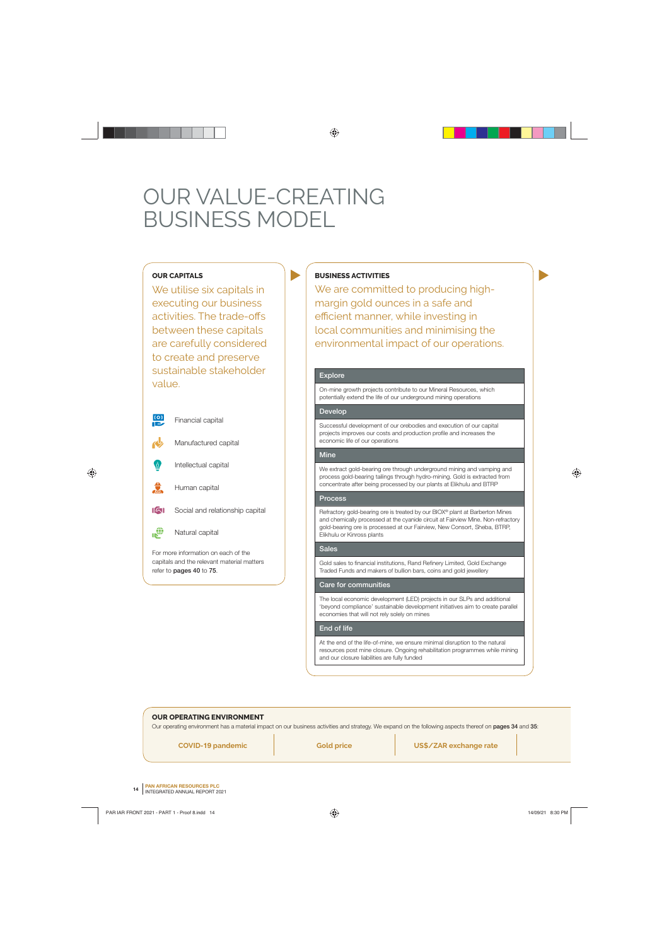# OUR VALUE-CREATING BUSINESS MODEL

# **OUR CAPITALS**

We utilise six capitals in executing our business activities. The trade-offs between these capitals are carefully considered to create and preserve sustainable stakeholder value.



# **BUSINESS ACTIVITIES**

We are committed to producing highmargin gold ounces in a safe and efficient manner, while investing in local communities and minimising the environmental impact of our operations.

# **Explore**

On-mine growth projects contribute to our Mineral Resources, which potentially extend the life of our underground mining operations

#### **Develop**

Successful development of our orebodies and execution of our capital projects improves our costs and production profile and increases the economic life of our operations

#### **Mine**

We extract gold-bearing ore through underground mining and vamping and process gold-bearing tailings through hydro-mining. Gold is extracted from concentrate after being processed by our plants at Elikhulu and BTRP

# **Process**

Refractory gold-bearing ore is treated by our BIOX® plant at Barberton Mines and chemically processed at the cyanide circuit at Fairview Mine. Non-refractory gold-bearing ore is processed at our Fairview, New Consort, Sheba, BTRP, Elikhulu or Kinross plants

#### **Sales**

Gold sales to financial institutions, Rand Refinery Limited, Gold Exchange Traded Funds and makers of bullion bars, coins and gold jewellery

## **Care for communities**

The local economic development (LED) projects in our SLPs and additional 'beyond compliance' sustainable development initiatives aim to create parallel economies that will not rely solely on mines

## **End of life**

At the end of the life-of-mine, we ensure minimal disruption to the natural resources post mine closure. Ongoing rehabilitation programmes while mining and our closure liabilities are fully funded

## **OUR OPERATING ENVIRONMENT**

Our operating environment has a material impact on our business activities and strategy. We expand on the following aspects thereof on **pages 34** and **35**:

**COVID-19 pandemic Gold price US\$/ZAR exchange rate**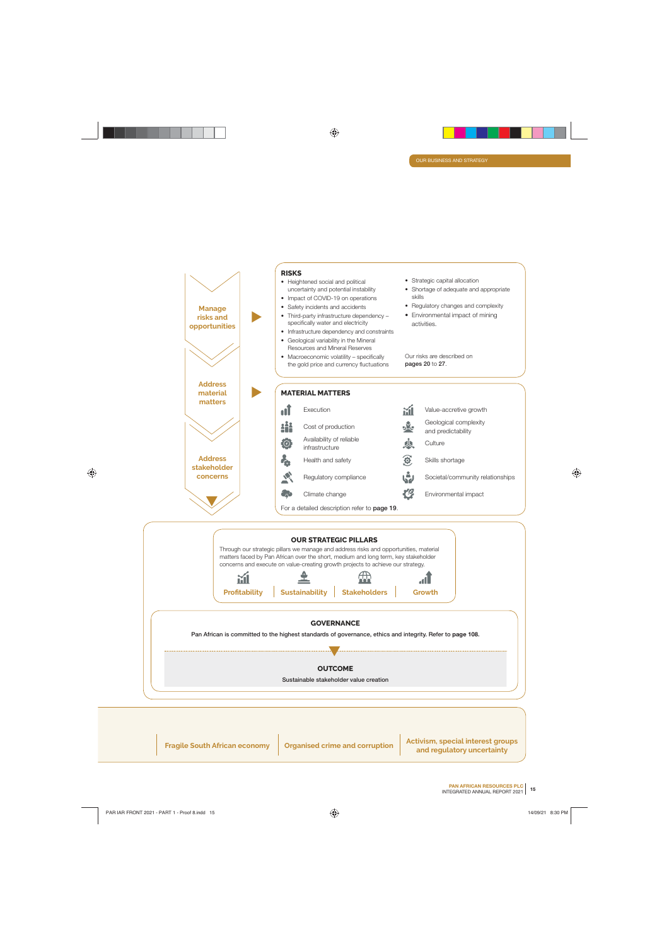

**Fragile South African economy | Organised crime and corruption | Activism, special interest groups and regulatory uncertainty**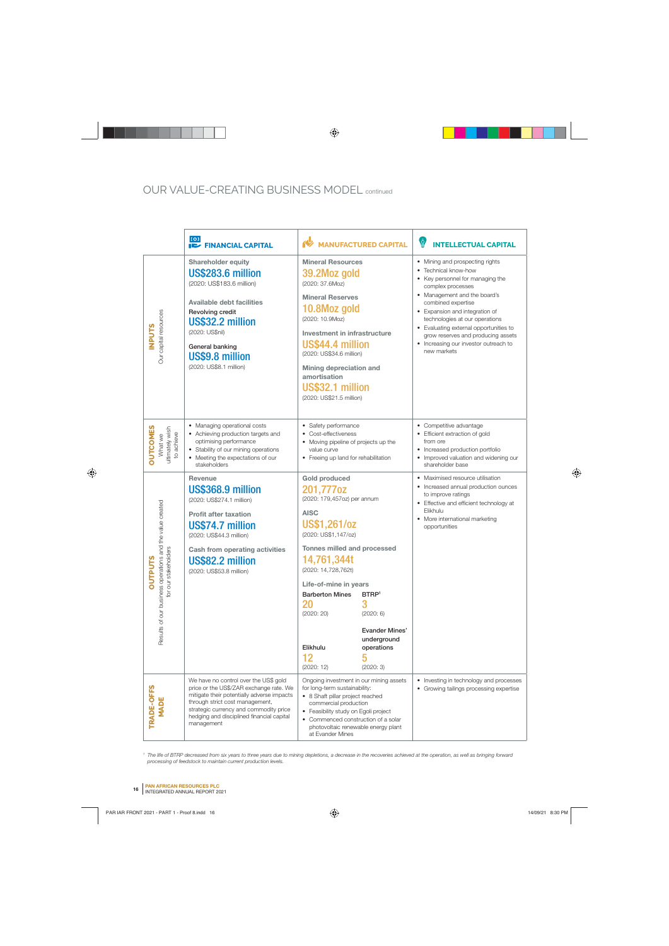# OUR VALUE-CREATING BUSINESS MODEL continued

|                                                                                                                | [[O]<br><b>FINANCIAL CAPITAL</b>                                                                                                                                                                                                                                       | <b>MANUFACTURED CAPITAL</b>                                                                                                                                                                                                                                                                                                                                                                                            | ÿ<br><b>INTELLECTUAL CAPITAL</b>                                                                                                                                                                                                                                                                                                                                                   |
|----------------------------------------------------------------------------------------------------------------|------------------------------------------------------------------------------------------------------------------------------------------------------------------------------------------------------------------------------------------------------------------------|------------------------------------------------------------------------------------------------------------------------------------------------------------------------------------------------------------------------------------------------------------------------------------------------------------------------------------------------------------------------------------------------------------------------|------------------------------------------------------------------------------------------------------------------------------------------------------------------------------------------------------------------------------------------------------------------------------------------------------------------------------------------------------------------------------------|
| Our capital resources<br><b>NPUTS</b>                                                                          | Shareholder equity<br>US\$283.6 million<br>(2020: US\$183.6 million)<br><b>Available debt facilities</b><br>Revolving credit<br>US\$32.2 million<br>(2020: US\$nil)<br>General banking<br>US\$9.8 million<br>(2020: US\$8.1 million)                                   | <b>Mineral Resources</b><br>39.2Moz gold<br>(2020: 37.6Moz)<br><b>Mineral Reserves</b><br>10.8Moz gold<br>(2020: 10.9Moz)<br>Investment in infrastructure<br>US\$44.4 million<br>(2020: US\$34.6 million)<br>Mining depreciation and<br>amortisation<br>US\$32.1 million<br>(2020: US\$21.5 million)                                                                                                                   | • Mining and prospecting rights<br>• Technical know-how<br>• Key personnel for managing the<br>complex processes<br>• Management and the board's<br>combined expertise<br>• Expansion and integration of<br>technologies at our operations<br>• Evaluating external opportunities to<br>grow reserves and producing assets<br>• Increasing our investor outreach to<br>new markets |
| <b>OUTCOMES</b><br>What we<br>ultimately wish<br>to achieve                                                    | • Managing operational costs<br>• Achieving production targets and<br>optimising performance<br>• Stability of our mining operations<br>• Meeting the expectations of our<br>stakeholders                                                                              | • Safety performance<br>Cost-effectiveness<br>• Moving pipeline of projects up the<br>value curve<br>• Freeing up land for rehabilitation                                                                                                                                                                                                                                                                              | • Competitive advantage<br>• Efficient extraction of gold<br>from ore<br>• Increased production portfolio<br>• Improved valuation and widening our<br>shareholder base                                                                                                                                                                                                             |
| operations and the value created<br>stakeholders<br><b>UTPUTS</b><br>for our :<br>O<br>Results of our business | <b>Revenue</b><br>US\$368.9 million<br>(2020: US\$274.1 million)<br><b>Profit after taxation</b><br>US\$74.7 million<br>(2020: US\$44.3 million)<br><b>Cash from operating activities</b><br>US\$82.2 million<br>(2020: US\$53.8 million)                              | <b>Gold produced</b><br>201,777oz<br>(2020: 179,457oz) per annum<br><b>AISC</b><br><b>US\$1,261/oz</b><br>(2020: US\$1,147/oz)<br>Tonnes milled and processed<br>14,761,344t<br>(2020: 14,728,762t)<br>Life-of-mine in years<br><b>Barberton Mines</b><br>BTRP <sup>1</sup><br>3<br>20<br>(2020: 20)<br>(2020:6)<br><b>Evander Mines'</b><br>underground<br>Elikhulu<br>operations<br>12<br>5<br>(2020:12)<br>(2020:3) | • Maximised resource utilisation<br>• Increased annual production ounces<br>to improve ratings<br>• Effective and efficient technology at<br>Elikhulu<br>• More international marketing<br>opportunities                                                                                                                                                                           |
| TRADE-OFFS<br><b>MADE</b>                                                                                      | We have no control over the US\$ gold<br>price or the US\$/ZAR exchange rate. We<br>mitigate their potentially adverse impacts<br>through strict cost management,<br>strategic currency and commodity price<br>hedging and disciplined financial capital<br>management | Ongoing investment in our mining assets<br>for long-term sustainability:<br>• 8 Shaft pillar project reached<br>commercial production<br>• Feasibility study on Egoli project<br>Commenced construction of a solar<br>photovoltaic renewable energy plant<br>at Evander Mines                                                                                                                                          | • Investing in technology and processes<br>• Growing tailings processing expertise                                                                                                                                                                                                                                                                                                 |

 $^{\rm 1}$  The life of BTRP decreased from six years to three years due to mining depletions, a decrease in the recoveries achieved at the operation, as well as bringing forward processing of feedstock to maintain current production levels.